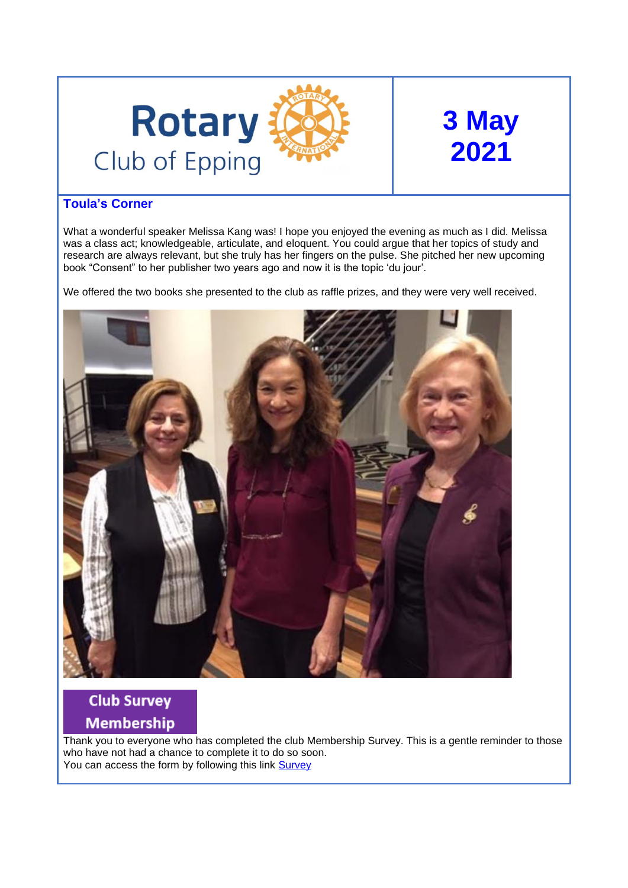

# **3 May 2021**

## **Toula's Corner**

What a wonderful speaker Melissa Kang was! I hope you enjoyed the evening as much as I did. Melissa was a class act; knowledgeable, articulate, and eloquent. You could argue that her topics of study and research are always relevant, but she truly has her fingers on the pulse. She pitched her new upcoming book "Consent" to her publisher two years ago and now it is the topic 'du jour'.

We offered the two books she presented to the club as raffle prizes, and they were very well received.



## **Club Survey Membership**

Thank you to everyone who has completed the club Membership Survey. This is a gentle reminder to those who have not had a chance to complete it to do so soon. You can access the form by following this link [Survey](https://form.jotform.com/211100903682848)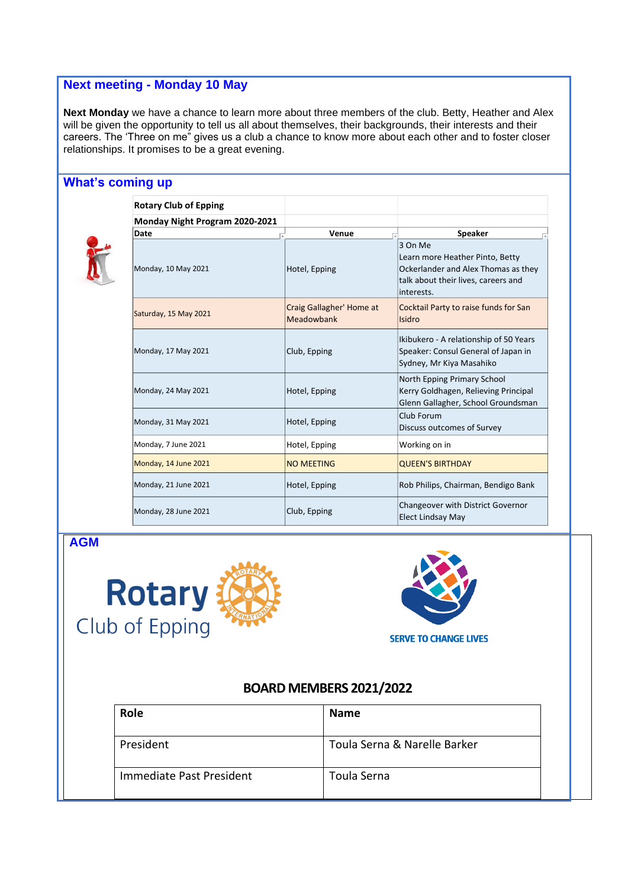## **Next meeting - Monday 10 May**

**Next Monday** we have a chance to learn more about three members of the club. Betty, Heather and Alex will be given the opportunity to tell us all about themselves, their backgrounds, their interests and their careers. The 'Three on me" gives us a club a chance to know more about each other and to foster closer relationships. It promises to be a great evening.

## **What's coming up**



| <b>Rotary Club of Epping</b>   |                                        |                                                                                                                                        |
|--------------------------------|----------------------------------------|----------------------------------------------------------------------------------------------------------------------------------------|
| Monday Night Program 2020-2021 |                                        |                                                                                                                                        |
| Date                           | Venue                                  | <b>Speaker</b>                                                                                                                         |
| Monday, 10 May 2021            | Hotel, Epping                          | 3 On Me<br>Learn more Heather Pinto, Betty<br>Ockerlander and Alex Thomas as they<br>talk about their lives, careers and<br>interests. |
| Saturday, 15 May 2021          | Craig Gallagher' Home at<br>Meadowbank | Cocktail Party to raise funds for San<br>Isidro                                                                                        |
| Monday, 17 May 2021            | Club, Epping                           | Ikibukero - A relationship of 50 Years<br>Speaker: Consul General of Japan in<br>Sydney, Mr Kiya Masahiko                              |
| Monday, 24 May 2021            | Hotel, Epping                          | North Epping Primary School<br>Kerry Goldhagen, Relieving Principal<br>Glenn Gallagher, School Groundsman                              |
| Monday, 31 May 2021            | Hotel, Epping                          | Club Forum<br>Discuss outcomes of Survey                                                                                               |
| Monday, 7 June 2021            | Hotel, Epping                          | Working on in                                                                                                                          |
| Monday, 14 June 2021           | <b>NO MEETING</b>                      | <b>QUEEN'S BIRTHDAY</b>                                                                                                                |
| Monday, 21 June 2021           | Hotel, Epping                          | Rob Philips, Chairman, Bendigo Bank                                                                                                    |
| Monday, 28 June 2021           | Club, Epping                           | Changeover with District Governor<br><b>Elect Lindsay May</b>                                                                          |

**AGM**





## **BOARD MEMBERS 2021/2022**

| <b>Role</b>              | <b>Name</b>                  |
|--------------------------|------------------------------|
| President                | Toula Serna & Narelle Barker |
| Immediate Past President | Toula Serna                  |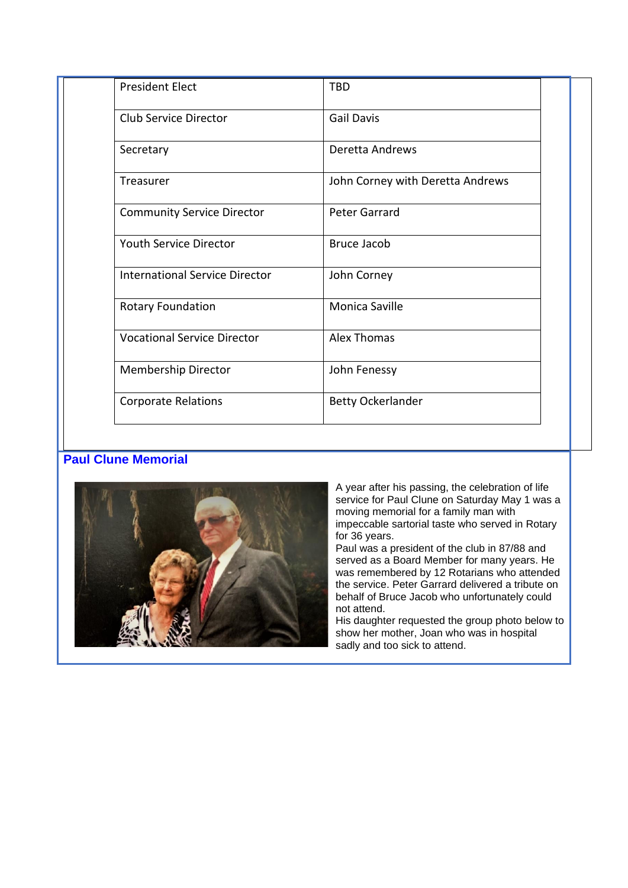| <b>President Elect</b>                | <b>TBD</b>                       |  |
|---------------------------------------|----------------------------------|--|
| <b>Club Service Director</b>          | <b>Gail Davis</b>                |  |
| Secretary                             | Deretta Andrews                  |  |
| Treasurer                             | John Corney with Deretta Andrews |  |
| <b>Community Service Director</b>     | <b>Peter Garrard</b>             |  |
| Youth Service Director                | <b>Bruce Jacob</b>               |  |
| <b>International Service Director</b> | John Corney                      |  |
| <b>Rotary Foundation</b>              | Monica Saville                   |  |
| <b>Vocational Service Director</b>    | <b>Alex Thomas</b>               |  |
| <b>Membership Director</b>            | John Fenessy                     |  |
| <b>Corporate Relations</b>            | <b>Betty Ockerlander</b>         |  |

## **Paul Clune Memorial**



A year after his passing, the celebration of life service for Paul Clune on Saturday May 1 was a moving memorial for a family man with impeccable sartorial taste who served in Rotary for 36 years.

Paul was a president of the club in 87/88 and served as a Board Member for many years. He was remembered by 12 Rotarians who attended the service. Peter Garrard delivered a tribute on behalf of Bruce Jacob who unfortunately could not attend.

His daughter requested the group photo below to show her mother, Joan who was in hospital sadly and too sick to attend.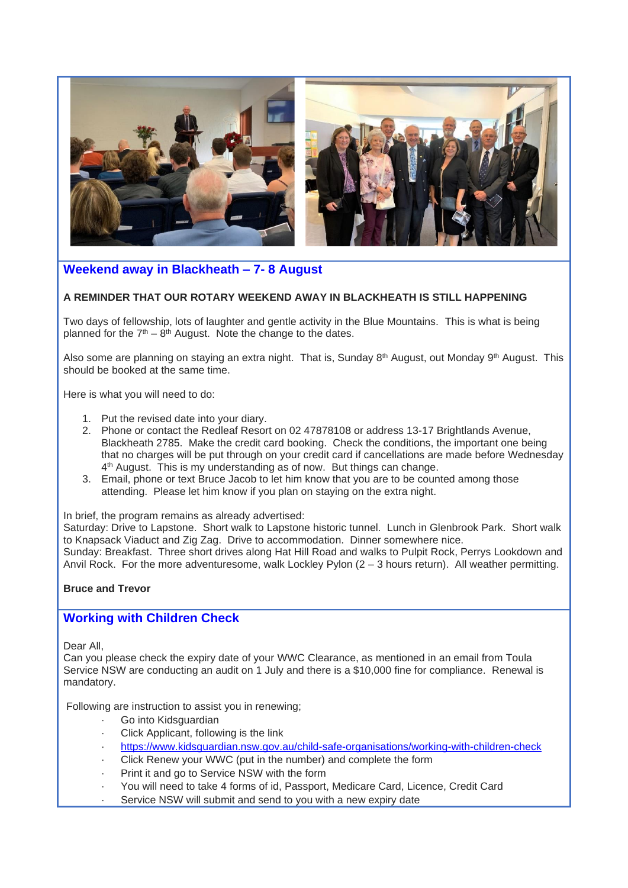

## **Weekend away in Blackheath – 7- 8 August**

#### **A REMINDER THAT OUR ROTARY WEEKEND AWAY IN BLACKHEATH IS STILL HAPPENING**

Two days of fellowship, lots of laughter and gentle activity in the Blue Mountains. This is what is being planned for the  $7<sup>th</sup> - 8<sup>th</sup>$  August. Note the change to the dates.

Also some are planning on staying an extra night. That is, Sunday 8<sup>th</sup> August, out Monday 9<sup>th</sup> August. This should be booked at the same time.

Here is what you will need to do:

- 1. Put the revised date into your diary.
- 2. Phone or contact the Redleaf Resort on 02 47878108 or address 13-17 Brightlands Avenue, Blackheath 2785. Make the credit card booking. Check the conditions, the important one being that no charges will be put through on your credit card if cancellations are made before Wednesday 4<sup>th</sup> August. This is my understanding as of now. But things can change.
- 3. Email, phone or text Bruce Jacob to let him know that you are to be counted among those attending. Please let him know if you plan on staying on the extra night.

In brief, the program remains as already advertised:

Saturday: Drive to Lapstone. Short walk to Lapstone historic tunnel. Lunch in Glenbrook Park. Short walk to Knapsack Viaduct and Zig Zag. Drive to accommodation. Dinner somewhere nice. Sunday: Breakfast. Three short drives along Hat Hill Road and walks to Pulpit Rock, Perrys Lookdown and Anvil Rock. For the more adventuresome, walk Lockley Pylon (2 – 3 hours return). All weather permitting.

#### **Bruce and Trevor**

## **Working with Children Check**

Dear All,

Can you please check the expiry date of your WWC Clearance, as mentioned in an email from Toula Service NSW are conducting an audit on 1 July and there is a \$10,000 fine for compliance. Renewal is mandatory.

Following are instruction to assist you in renewing;

- Go into Kidsguardian
- Click Applicant, following is the link
- · <https://www.kidsguardian.nsw.gov.au/child-safe-organisations/working-with-children-check>
- Click Renew your WWC (put in the number) and complete the form
- Print it and go to Service NSW with the form
- · You will need to take 4 forms of id, Passport, Medicare Card, Licence, Credit Card
- Service NSW will submit and send to you with a new expiry date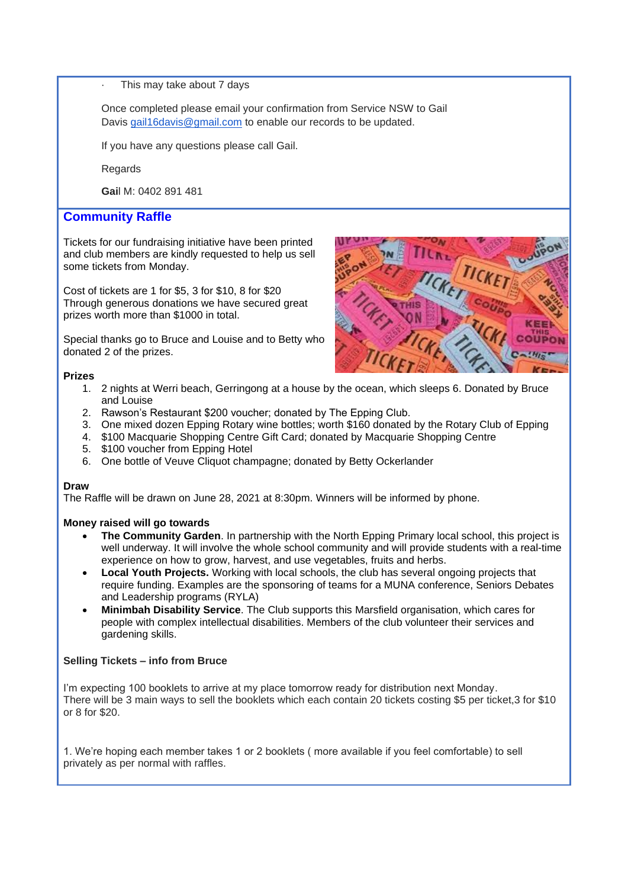This may take about 7 days

Once completed please email your confirmation from Service NSW to Gail Davis gail16 davis@gmail.com to enable our records to be updated.

If you have any questions please call Gail.

Regards

**Gai**l M: 0402 891 481

#### **Community Raffle**

Tickets for our fundraising initiative have been printed and club members are kindly requested to help us sell some tickets from Monday.

Cost of tickets are 1 for \$5, 3 for \$10, 8 for \$20 Through generous donations we have secured great prizes worth more than \$1000 in total.

Special thanks go to Bruce and Louise and to Betty who donated 2 of the prizes.



#### **Prizes**

- 1. 2 nights at Werri beach, Gerringong at a house by the ocean, which sleeps 6. Donated by Bruce and Louise
- 2. Rawson's Restaurant \$200 voucher; donated by The Epping Club.
- 3. One mixed dozen Epping Rotary wine bottles; worth \$160 donated by the Rotary Club of Epping
- 4. \$100 Macquarie Shopping Centre Gift Card; donated by Macquarie Shopping Centre
- 5. \$100 voucher from Epping Hotel
- 6. One bottle of Veuve Cliquot champagne; donated by Betty Ockerlander

#### **Draw**

The Raffle will be drawn on June 28, 2021 at 8:30pm. Winners will be informed by phone.

#### **Money raised will go towards**

- **The Community Garden**. In partnership with the North Epping Primary local school, this project is well underway. It will involve the whole school community and will provide students with a real-time experience on how to grow, harvest, and use vegetables, fruits and herbs.
- **Local Youth Projects.** Working with local schools, the club has several ongoing projects that require funding. Examples are the sponsoring of teams for a MUNA conference, Seniors Debates and Leadership programs (RYLA)
- **Minimbah Disability Service**. The Club supports this Marsfield organisation, which cares for people with complex intellectual disabilities. Members of the club volunteer their services and gardening skills.

#### **Selling Tickets – info from Bruce**

I'm expecting 100 booklets to arrive at my place tomorrow ready for distribution next Monday. There will be 3 main ways to sell the booklets which each contain 20 tickets costing \$5 per ticket,3 for \$10 or 8 for \$20.

1. We're hoping each member takes 1 or 2 booklets ( more available if you feel comfortable) to sell privately as per normal with raffles.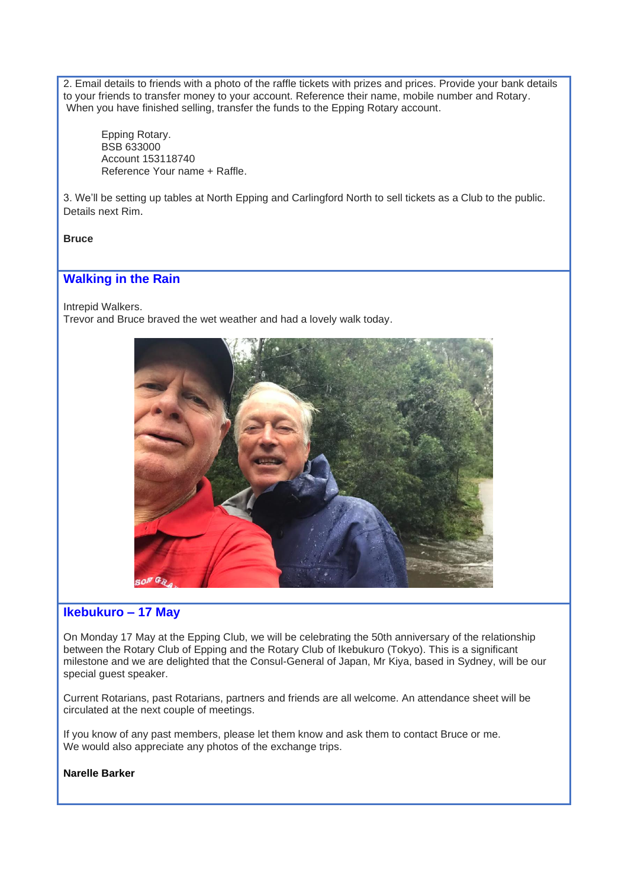2. Email details to friends with a photo of the raffle tickets with prizes and prices. Provide your bank details to your friends to transfer money to your account. Reference their name, mobile number and Rotary. When you have finished selling, transfer the funds to the Epping Rotary account.

Epping Rotary. BSB 633000 Account 153118740 Reference Your name + Raffle.

3. We'll be setting up tables at North Epping and Carlingford North to sell tickets as a Club to the public. Details next Rim.

#### **Bruce**

## **Walking in the Rain**

Intrepid Walkers. Trevor and Bruce braved the wet weather and had a lovely walk today.



## **Ikebukuro – 17 May**

On Monday 17 May at the Epping Club, we will be celebrating the 50th anniversary of the relationship between the Rotary Club of Epping and the Rotary Club of Ikebukuro (Tokyo). This is a significant milestone and we are delighted that the Consul-General of Japan, Mr Kiya, based in Sydney, will be our special guest speaker.

Current Rotarians, past Rotarians, partners and friends are all welcome. An attendance sheet will be circulated at the next couple of meetings.

If you know of any past members, please let them know and ask them to contact Bruce or me. We would also appreciate any photos of the exchange trips.

#### **Narelle Barker**